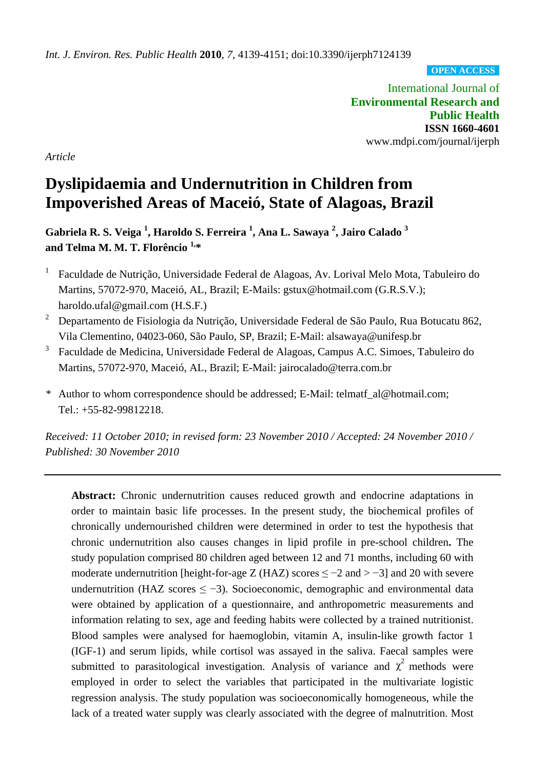**OPEN ACCESS**

International Journal of **Environmental Research and Public Health ISSN 1660-4601** www.mdpi.com/journal/ijerph

*Article*

# **Dyslipidaemia and Undernutrition in Children from Impoverished Areas of Maceió, State of Alagoas, Brazil**

**Gabriela R. S. Veiga <sup>1</sup> , Haroldo S. Ferreira <sup>1</sup> , Ana L. Sawaya <sup>2</sup> , Jairo Calado <sup>3</sup> and Telma M. M. T. Florêncio 1,\***

- 1 Faculdade de Nutrição, Universidade Federal de Alagoas, Av. Lorival Melo Mota, Tabuleiro do Martins, 57072-970, Maceió, AL, Brazil; E-Mails: gstux@hotmail.com (G.R.S.V.); haroldo.ufal@gmail.com (H.S.F.)
- <sup>2</sup> Departamento de Fisiologia da Nutrição, Universidade Federal de São Paulo, Rua Botucatu 862, Vila Clementino, 04023-060, São Paulo, SP, Brazil; E-Mail: alsawaya@unifesp.br
- 3 Faculdade de Medicina, Universidade Federal de Alagoas, Campus A.C. Simoes, Tabuleiro do Martins, 57072-970, Maceió, AL, Brazil; E-Mail: jairocalado@terra.com.br
- *\** Author to whom correspondence should be addressed; E-Mail: telmatf\_al@hotmail.com; Tel.: +55-82-99812218.

*Received: 11 October 2010; in revised form: 23 November 2010 / Accepted: 24 November 2010 / Published: 30 November 2010*

Abstract: Chronic undernutrition causes reduced growth and endocrine adaptations in order to maintain basic life processes. In the present study, the biochemical profiles of chronically undernourished children were determined in order to test the hypothesis that chronic undernutrition also causes changes in lipid profile in pre-school children**.** The study population comprised 80 children aged between 12 and 71 months, including 60 with moderate undernutrition [height-for-age Z (HAZ) scores  $\leq -2$  and  $> -3$ ] and 20 with severe undernutrition (HAZ scores  $\leq$  -3). Socioeconomic, demographic and environmental data were obtained by application of a questionnaire, and anthropometric measurements and information relating to sex, age and feeding habits were collected by a trained nutritionist. Blood samples were analysed for haemoglobin, vitamin A, insulin-like growth factor 1 (IGF-1) and serum lipids, while cortisol was assayed in the saliva. Faecal samples were submitted to parasitological investigation. Analysis of variance and  $\chi^2$  methods were employed in order to select the variables that participated in the multivariate logistic regression analysis. The study population was socioeconomically homogeneous, while the lack of a treated water supply was clearly associated with the degree of malnutrition. Most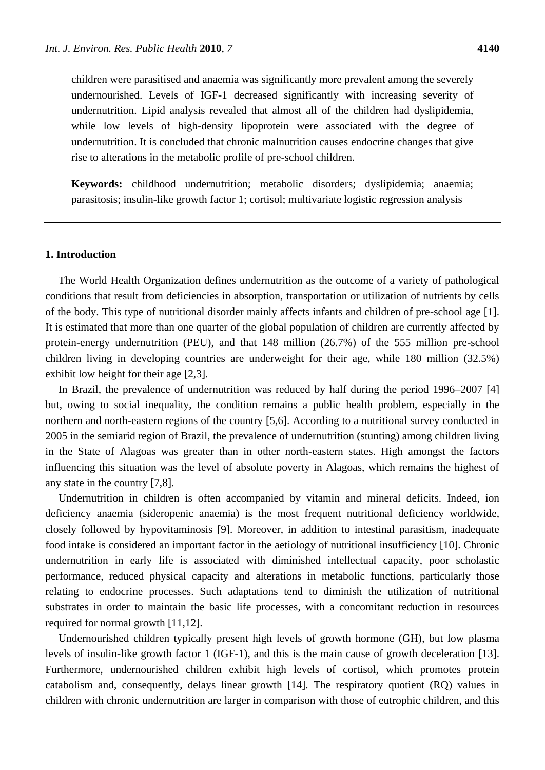children were parasitised and anaemia was significantly more prevalent among the severely undernourished. Levels of IGF-1 decreased significantly with increasing severity of undernutrition. Lipid analysis revealed that almost all of the children had dyslipidemia, while low levels of high-density lipoprotein were associated with the degree of undernutrition. It is concluded that chronic malnutrition causes endocrine changes that give rise to alterations in the metabolic profile of pre-school children.

**Keywords:** childhood undernutrition; metabolic disorders; dyslipidemia; anaemia; parasitosis; insulin-like growth factor 1; cortisol; multivariate logistic regression analysis

#### **1. Introduction**

The World Health Organization defines undernutrition as the outcome of a variety of pathological conditions that result from deficiencies in absorption, transportation or utilization of nutrients by cells of the body. This type of nutritional disorder mainly affects infants and children of pre-school age [1]. It is estimated that more than one quarter of the global population of children are currently affected by protein-energy undernutrition (PEU), and that 148 million (26.7%) of the 555 million pre-school children living in developing countries are underweight for their age, while 180 million (32.5%) exhibit low height for their age [2,3].

In Brazil, the prevalence of undernutrition was reduced by half during the period 1996–2007 [4] but, owing to social inequality, the condition remains a public health problem, especially in the northern and north-eastern regions of the country [5,6]. According to a nutritional survey conducted in 2005 in the semiarid region of Brazil, the prevalence of undernutrition (stunting) among children living in the State of Alagoas was greater than in other north-eastern states. High amongst the factors influencing this situation was the level of absolute poverty in Alagoas, which remains the highest of any state in the country [7,8].

Undernutrition in children is often accompanied by vitamin and mineral deficits. Indeed, ion deficiency anaemia (sideropenic anaemia) is the most frequent nutritional deficiency worldwide, closely followed by hypovitaminosis [9]. Moreover, in addition to intestinal parasitism, inadequate food intake is considered an important factor in the aetiology of nutritional insufficiency [10]. Chronic undernutrition in early life is associated with diminished intellectual capacity, poor scholastic performance, reduced physical capacity and alterations in metabolic functions, particularly those relating to endocrine processes. Such adaptations tend to diminish the utilization of nutritional substrates in order to maintain the basic life processes, with a concomitant reduction in resources required for normal growth [11,12].

Undernourished children typically present high levels of growth hormone (GH), but low plasma levels of insulin-like growth factor 1 (IGF-1), and this is the main cause of growth deceleration [13]. Furthermore, undernourished children exhibit high levels of cortisol, which promotes protein catabolism and, consequently, delays linear growth [14]. The respiratory quotient (RQ) values in children with chronic undernutrition are larger in comparison with those of eutrophic children, and this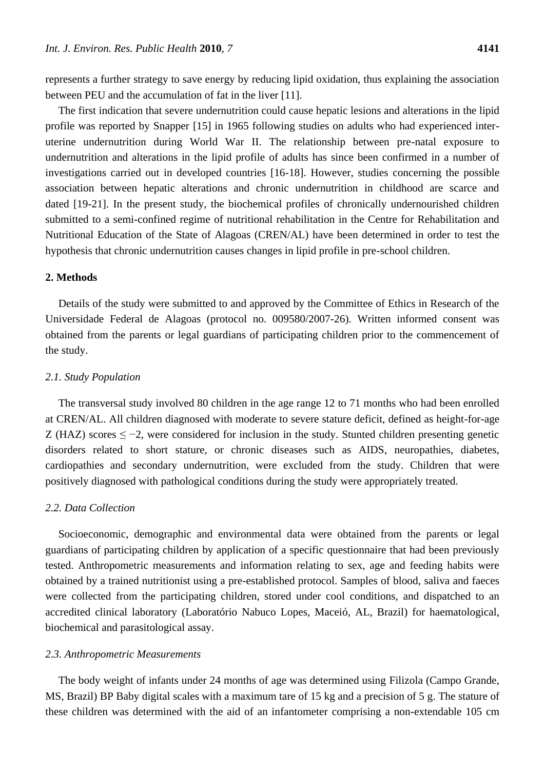represents a further strategy to save energy by reducing lipid oxidation, thus explaining the association between PEU and the accumulation of fat in the liver [11].

The first indication that severe undernutrition could cause hepatic lesions and alterations in the lipid profile was reported by Snapper [15] in 1965 following studies on adults who had experienced interuterine undernutrition during World War II. The relationship between pre-natal exposure to undernutrition and alterations in the lipid profile of adults has since been confirmed in a number of investigations carried out in developed countries [16-18]. However, studies concerning the possible association between hepatic alterations and chronic undernutrition in childhood are scarce and dated [19-21]. In the present study, the biochemical profiles of chronically undernourished children submitted to a semi-confined regime of nutritional rehabilitation in the Centre for Rehabilitation and Nutritional Education of the State of Alagoas (CREN/AL) have been determined in order to test the hypothesis that chronic undernutrition causes changes in lipid profile in pre-school children.

#### **2. Methods**

Details of the study were submitted to and approved by the Committee of Ethics in Research of the Universidade Federal de Alagoas (protocol no. 009580/2007-26). Written informed consent was obtained from the parents or legal guardians of participating children prior to the commencement of the study.

## *2.1. Study Population*

The transversal study involved 80 children in the age range 12 to 71 months who had been enrolled at CREN/AL. All children diagnosed with moderate to severe stature deficit, defined as height-for-age Z (HAZ) scores  $\leq -2$ , were considered for inclusion in the study. Stunted children presenting genetic disorders related to short stature, or chronic diseases such as AIDS, neuropathies, diabetes, cardiopathies and secondary undernutrition, were excluded from the study. Children that were positively diagnosed with pathological conditions during the study were appropriately treated.

#### *2.2. Data Collection*

Socioeconomic, demographic and environmental data were obtained from the parents or legal guardians of participating children by application of a specific questionnaire that had been previously tested. Anthropometric measurements and information relating to sex, age and feeding habits were obtained by a trained nutritionist using a pre-established protocol. Samples of blood, saliva and faeces were collected from the participating children, stored under cool conditions, and dispatched to an accredited clinical laboratory (Laboratório Nabuco Lopes, Maceió, AL, Brazil) for haematological, biochemical and parasitological assay.

### *2.3. Anthropometric Measurements*

The body weight of infants under 24 months of age was determined using Filizola (Campo Grande, MS, Brazil) BP Baby digital scales with a maximum tare of 15 kg and a precision of 5 g. The stature of these children was determined with the aid of an infantometer comprising a non-extendable 105 cm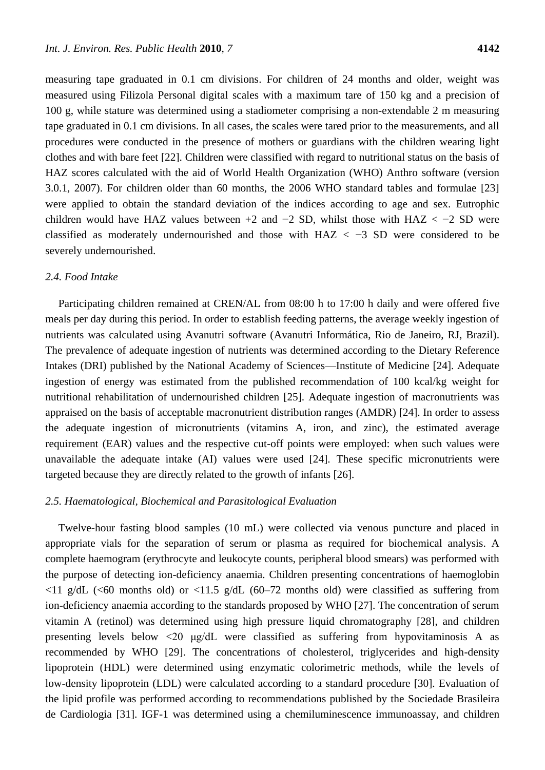measuring tape graduated in 0.1 cm divisions. For children of 24 months and older, weight was measured using Filizola Personal digital scales with a maximum tare of 150 kg and a precision of 100 g, while stature was determined using a stadiometer comprising a non-extendable 2 m measuring tape graduated in 0.1 cm divisions. In all cases, the scales were tared prior to the measurements, and all procedures were conducted in the presence of mothers or guardians with the children wearing light clothes and with bare feet [22]. Children were classified with regard to nutritional status on the basis of HAZ scores calculated with the aid of World Health Organization (WHO) Anthro software (version 3.0.1, 2007). For children older than 60 months, the 2006 WHO standard tables and formulae [23] were applied to obtain the standard deviation of the indices according to age and sex. Eutrophic children would have HAZ values between +2 and  $-2$  SD, whilst those with HAZ  $< -2$  SD were classified as moderately undernourished and those with  $HAZ < -3$  SD were considered to be severely undernourished.

## *2.4. Food Intake*

Participating children remained at CREN/AL from 08:00 h to 17:00 h daily and were offered five meals per day during this period. In order to establish feeding patterns, the average weekly ingestion of nutrients was calculated using Avanutri software (Avanutri Informática, Rio de Janeiro, RJ, Brazil). The prevalence of adequate ingestion of nutrients was determined according to the Dietary Reference Intakes (DRI) published by the National Academy of Sciences—Institute of Medicine [24]. Adequate ingestion of energy was estimated from the published recommendation of 100 kcal/kg weight for nutritional rehabilitation of undernourished children [25]. Adequate ingestion of macronutrients was appraised on the basis of acceptable macronutrient distribution ranges (AMDR) [24]. In order to assess the adequate ingestion of micronutrients (vitamins A, iron, and zinc), the estimated average requirement (EAR) values and the respective cut-off points were employed: when such values were unavailable the adequate intake (AI) values were used [24]. These specific micronutrients were targeted because they are directly related to the growth of infants [26].

## *2.5. Haematological, Biochemical and Parasitological Evaluation*

Twelve-hour fasting blood samples (10 mL) were collected via venous puncture and placed in appropriate vials for the separation of serum or plasma as required for biochemical analysis. A complete haemogram (erythrocyte and leukocyte counts, peripheral blood smears) was performed with the purpose of detecting ion-deficiency anaemia. Children presenting concentrations of haemoglobin  $\langle 11 \text{ g/dL} \rangle$  ( $\langle 60 \text{ months old} \rangle$  or  $\langle 11.5 \text{ g/dL} \rangle$  (60–72 months old) were classified as suffering from ion-deficiency anaemia according to the standards proposed by WHO [27]. The concentration of serum vitamin A (retinol) was determined using high pressure liquid chromatography [28], and children presenting levels below <20 μg/dL were classified as suffering from hypovitaminosis A as recommended by WHO [29]. The concentrations of cholesterol, triglycerides and high-density lipoprotein (HDL) were determined using enzymatic colorimetric methods, while the levels of low-density lipoprotein (LDL) were calculated according to a standard procedure [30]. Evaluation of the lipid profile was performed according to recommendations published by the Sociedade Brasileira de Cardiologia [31]. IGF-1 was determined using a chemiluminescence immunoassay, and children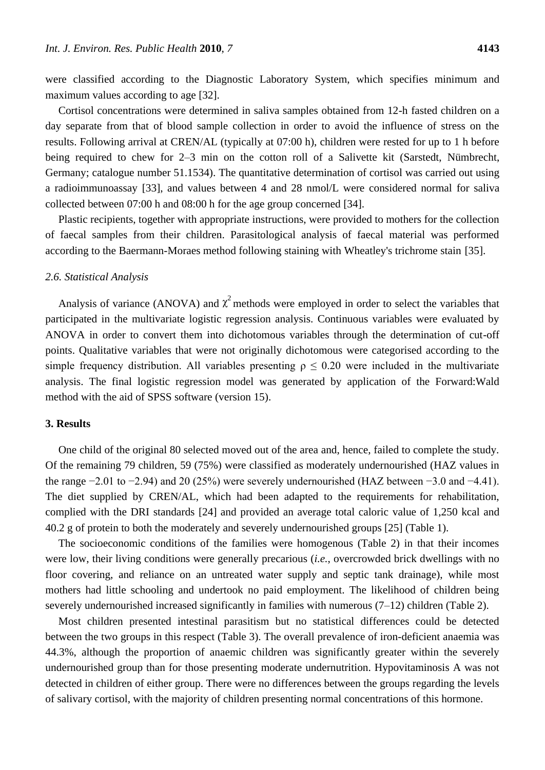were classified according to the Diagnostic Laboratory System, which specifies minimum and maximum values according to age [32].

Cortisol concentrations were determined in saliva samples obtained from 12-h fasted children on a day separate from that of blood sample collection in order to avoid the influence of stress on the results. Following arrival at CREN/AL (typically at 07:00 h), children were rested for up to 1 h before being required to chew for 2–3 min on the cotton roll of a Salivette kit (Sarstedt, Nümbrecht, Germany; catalogue number 51.1534). The quantitative determination of cortisol was carried out using a radioimmunoassay [33], and values between 4 and 28 nmol/L were considered normal for saliva collected between 07:00 h and 08:00 h for the age group concerned [34].

Plastic recipients, together with appropriate instructions, were provided to mothers for the collection of faecal samples from their children. Parasitological analysis of faecal material was performed according to the Baermann-Moraes method following staining with Wheatley's trichrome stain [35].

#### *2.6. Statistical Analysis*

Analysis of variance (ANOVA) and  $\chi^2$  methods were employed in order to select the variables that participated in the multivariate logistic regression analysis. Continuous variables were evaluated by ANOVA in order to convert them into dichotomous variables through the determination of cut-off points. Qualitative variables that were not originally dichotomous were categorised according to the simple frequency distribution. All variables presenting  $\rho \leq 0.20$  were included in the multivariate analysis. The final logistic regression model was generated by application of the Forward:Wald method with the aid of SPSS software (version 15).

#### **3. Results**

One child of the original 80 selected moved out of the area and, hence, failed to complete the study. Of the remaining 79 children, 59 (75%) were classified as moderately undernourished (HAZ values in the range −2.01 to −2.94) and 20 (25%) were severely undernourished (HAZ between −3.0 and −4.41). The diet supplied by CREN/AL, which had been adapted to the requirements for rehabilitation, complied with the DRI standards [24] and provided an average total caloric value of 1,250 kcal and 40.2 g of protein to both the moderately and severely undernourished groups [25] (Table 1).

The socioeconomic conditions of the families were homogenous (Table 2) in that their incomes were low, their living conditions were generally precarious (*i.e.*, overcrowded brick dwellings with no floor covering, and reliance on an untreated water supply and septic tank drainage), while most mothers had little schooling and undertook no paid employment. The likelihood of children being severely undernourished increased significantly in families with numerous  $(7-12)$  children (Table 2).

Most children presented intestinal parasitism but no statistical differences could be detected between the two groups in this respect (Table 3). The overall prevalence of iron-deficient anaemia was 44.3%, although the proportion of anaemic children was significantly greater within the severely undernourished group than for those presenting moderate undernutrition. Hypovitaminosis A was not detected in children of either group. There were no differences between the groups regarding the levels of salivary cortisol, with the majority of children presenting normal concentrations of this hormone.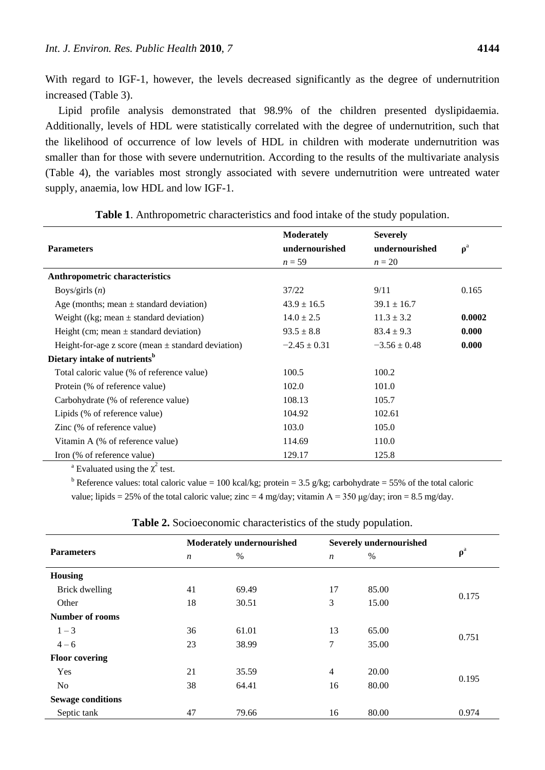With regard to IGF-1, however, the levels decreased significantly as the degree of undernutrition increased (Table 3).

Lipid profile analysis demonstrated that 98.9% of the children presented dyslipidaemia. Additionally, levels of HDL were statistically correlated with the degree of undernutrition, such that the likelihood of occurrence of low levels of HDL in children with moderate undernutrition was smaller than for those with severe undernutrition. According to the results of the multivariate analysis (Table 4), the variables most strongly associated with severe undernutrition were untreated water supply, anaemia, low HDL and low IGF-1.

|                                                        | <b>Moderately</b> | <b>Severely</b>  |          |
|--------------------------------------------------------|-------------------|------------------|----------|
| <b>Parameters</b>                                      | undernourished    | undernourished   | $\rho^a$ |
|                                                        | $n = 59$          | $n=20$           |          |
| Anthropometric characteristics                         |                   |                  |          |
| Boys/girls $(n)$                                       | 37/22             | 9/11             | 0.165    |
| Age (months; mean $\pm$ standard deviation)            | $43.9 \pm 16.5$   | $39.1 \pm 16.7$  |          |
| Weight ((kg; mean $\pm$ standard deviation)            | $14.0 \pm 2.5$    | $11.3 \pm 3.2$   | 0.0002   |
| Height (cm; mean $\pm$ standard deviation)             | $93.5 \pm 8.8$    | $83.4 \pm 9.3$   | 0.000    |
| Height-for-age z score (mean $\pm$ standard deviation) | $-2.45 \pm 0.31$  | $-3.56 \pm 0.48$ | 0.000    |
| Dietary intake of nutrients <sup>b</sup>               |                   |                  |          |
| Total caloric value (% of reference value)             | 100.5             | 100.2            |          |
| Protein (% of reference value)                         | 102.0             | 101.0            |          |
| Carbohydrate (% of reference value)                    | 108.13            | 105.7            |          |
| Lipids (% of reference value)                          | 104.92            | 102.61           |          |
| Zinc (% of reference value)                            | 103.0             | 105.0            |          |
| Vitamin A (% of reference value)                       | 114.69            | 110.0            |          |
| Iron (% of reference value)                            | 129.17            | 125.8            |          |

**Table 1**. Anthropometric characteristics and food intake of the study population.

<sup>a</sup> Evaluated using the  $\chi^2$  test.

<sup>b</sup> Reference values: total caloric value = 100 kcal/kg; protein = 3.5 g/kg; carbohydrate = 55% of the total caloric value; lipids = 25% of the total caloric value; zinc = 4 mg/day; vitamin A = 350 µg/day; iron = 8.5 mg/day.

| <b>Parameters</b>        |                  | <b>Moderately undernourished</b> |                  | <b>Severely undernourished</b> |                                |  |
|--------------------------|------------------|----------------------------------|------------------|--------------------------------|--------------------------------|--|
|                          | $\boldsymbol{n}$ | $\%$                             | $\boldsymbol{n}$ | $\%$                           | $\boldsymbol{\rho}^{\text{a}}$ |  |
| <b>Housing</b>           |                  |                                  |                  |                                |                                |  |
| Brick dwelling           | 41               | 69.49                            | 17               | 85.00                          |                                |  |
| Other                    | 18               | 30.51                            | 3                | 15.00                          | 0.175                          |  |
| Number of rooms          |                  |                                  |                  |                                |                                |  |
| $1 - 3$                  | 36               | 61.01                            | 13               | 65.00                          |                                |  |
| $4 - 6$                  | 23               | 38.99                            | 7                | 35.00                          | 0.751                          |  |
| <b>Floor covering</b>    |                  |                                  |                  |                                |                                |  |
| Yes                      | 21               | 35.59                            | $\overline{4}$   | 20.00                          |                                |  |
| No                       | 38               | 64.41                            | 16               | 80.00                          | 0.195                          |  |
| <b>Sewage conditions</b> |                  |                                  |                  |                                |                                |  |
| Septic tank              | 47               | 79.66                            | 16               | 80.00                          | 0.974                          |  |

**Table 2.** Socioeconomic characteristics of the study population.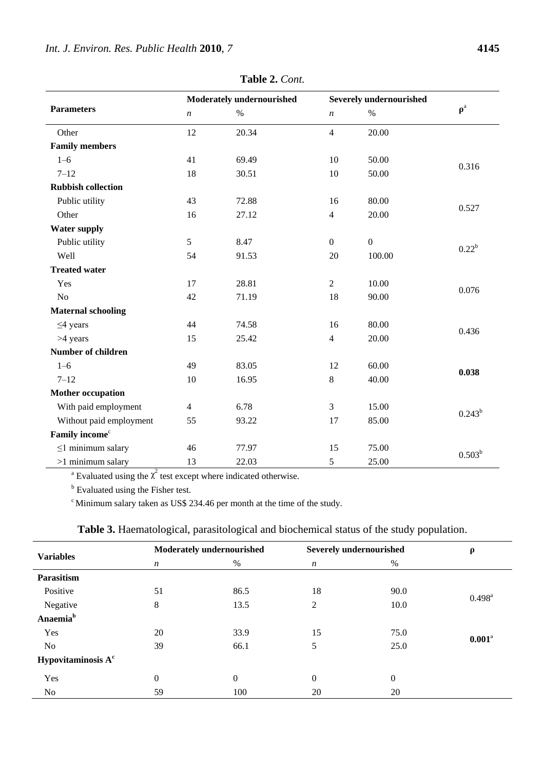|                                      | Moderately undernourished |       | <b>Severely undernourished</b> |              |             |  |
|--------------------------------------|---------------------------|-------|--------------------------------|--------------|-------------|--|
| <b>Parameters</b>                    | $\boldsymbol{n}$          | $\%$  | $\boldsymbol{n}$               | $\%$         | $\rho^a$    |  |
| Other                                | 12                        | 20.34 | $\overline{4}$                 | 20.00        |             |  |
| <b>Family members</b>                |                           |       |                                |              |             |  |
| $1 - 6$                              | 41                        | 69.49 | 10                             | 50.00        |             |  |
| $7 - 12$                             | 18                        | 30.51 | 10                             | 50.00        | 0.316       |  |
| <b>Rubbish collection</b>            |                           |       |                                |              |             |  |
| Public utility                       | 43                        | 72.88 | 16                             | 80.00        | 0.527       |  |
| Other                                | 16                        | 27.12 | $\overline{4}$                 | 20.00        |             |  |
| <b>Water supply</b>                  |                           |       |                                |              |             |  |
| Public utility                       | 5                         | 8.47  | $\overline{0}$                 | $\mathbf{0}$ |             |  |
| Well                                 | 54                        | 91.53 | 20                             | 100.00       | $0.22^b$    |  |
| <b>Treated water</b>                 |                           |       |                                |              |             |  |
| Yes                                  | 17                        | 28.81 | $\overline{2}$                 | 10.00        |             |  |
| N <sub>o</sub>                       | 42                        | 71.19 | 18                             | 90.00        | 0.076       |  |
| <b>Maternal schooling</b>            |                           |       |                                |              |             |  |
| $\leq$ 4 years                       | 44                        | 74.58 | 16                             | 80.00        | 0.436       |  |
| >4 years                             | 15                        | 25.42 | $\overline{4}$                 | 20.00        |             |  |
| <b>Number of children</b>            |                           |       |                                |              |             |  |
| $1 - 6$                              | 49                        | 83.05 | 12                             | 60.00        | 0.038       |  |
| $7 - 12$                             | 10                        | 16.95 | 8                              | 40.00        |             |  |
| <b>Mother occupation</b>             |                           |       |                                |              |             |  |
| With paid employment                 | $\overline{4}$            | 6.78  | 3                              | 15.00        | $0.243^{b}$ |  |
| Without paid employment              | 55                        | 93.22 | 17                             | 85.00        |             |  |
| Family income <sup>c</sup>           |                           |       |                                |              |             |  |
| $\leq$ 1 minimum salary              | 46                        | 77.97 | 15                             | 75.00        | $0.503^{b}$ |  |
| $>1$ minimum salary<br>$\mathcal{L}$ | 13                        | 22.03 | 5                              | 25.00        |             |  |

**Table 2.** *Cont.*

<sup>a</sup> Evaluated using the  $\chi^2$  test except where indicated otherwise.

**b** Evaluated using the Fisher test.

 $\degree$ Minimum salary taken as US\$ 234.46 per month at the time of the study.

| <b>Variables</b>     |                  | Moderately undernourished |                  | Severely undernourished |                      |
|----------------------|------------------|---------------------------|------------------|-------------------------|----------------------|
|                      | $\boldsymbol{n}$ | $\%$                      | $\boldsymbol{n}$ | %                       |                      |
| Parasitism           |                  |                           |                  |                         |                      |
| Positive             | 51               | 86.5                      | 18               | 90.0                    | $0.498^{\rm a}$      |
| Negative             | 8                | 13.5                      | $\overline{2}$   | 10.0                    |                      |
| Anaemia <sup>b</sup> |                  |                           |                  |                         |                      |
| Yes                  | 20               | 33.9                      | 15               | 75.0                    |                      |
| No                   | 39               | 66.1                      | 5                | 25.0                    | $0.001$ <sup>a</sup> |
| Hypovitaminosis $Ac$ |                  |                           |                  |                         |                      |
| Yes                  | $\overline{0}$   | $\theta$                  | $\overline{0}$   | $\boldsymbol{0}$        |                      |
| No                   | 59               | 100                       | 20               | 20                      |                      |

**Table 3.** Haematological, parasitological and biochemical status of the study population.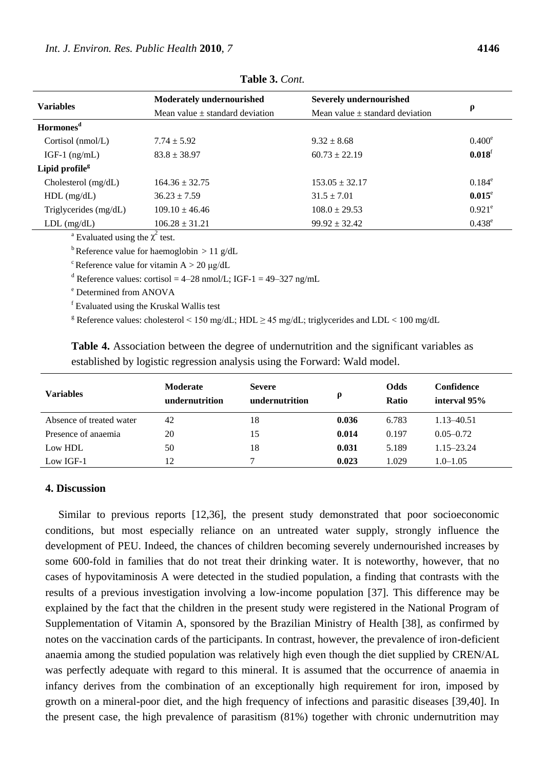| <b>Variables</b>           | Moderately undernourished           | <b>Severely undernourished</b>      | $\boldsymbol{\rho}$  |  |
|----------------------------|-------------------------------------|-------------------------------------|----------------------|--|
|                            | Mean value $\pm$ standard deviation | Mean value $\pm$ standard deviation |                      |  |
| Hormones <sup>d</sup>      |                                     |                                     |                      |  |
| Cortisol (nmol/L)          | $7.74 \pm 5.92$                     | $9.32 \pm 8.68$                     | $0.400^e$            |  |
| IGF-1 $(ng/mL)$            | $83.8 \pm 38.97$                    | $60.73 \pm 22.19$                   | $0.018$ <sup>f</sup> |  |
| Lipid profile <sup>g</sup> |                                     |                                     |                      |  |
| Cholesterol (mg/dL)        | $164.36 \pm 32.75$                  | $153.05 \pm 32.17$                  | $0.184^e$            |  |
| $HDL$ (mg/dL)              | $36.23 \pm 7.59$                    | $31.5 \pm 7.01$                     | $0.015^{\circ}$      |  |
| Triglycerides (mg/dL)      | $109.10 \pm 46.46$                  | $108.0 \pm 29.53$                   | $0.921^e$            |  |
| $LDL$ (mg/dL)              | $106.28 \pm 31.21$                  | $99.92 \pm 32.42$                   | $0.438^e$            |  |

**Table 3.** *Cont.*

<sup>a</sup> Evaluated using the  $\chi^2$  test.

<sup>b</sup>Reference value for haemoglobin  $> 11$  g/dL

<sup>c</sup> Reference value for vitamin  $A > 20 \mu g/dL$ 

<sup>d</sup> Reference values: cortisol = 4–28 nmol/L; IGF-1 = 49–327 ng/mL

<sup>e</sup> Determined from ANOVA

<sup>f</sup> Evaluated using the Kruskal Wallis test

<sup>g</sup> Reference values: cholesterol < 150 mg/dL; HDL  $\geq$  45 mg/dL; triglycerides and LDL < 100 mg/dL

| established by logistic regression analysis using the Forward. Wald model. |                                   |                                 |       |                             |                            |  |
|----------------------------------------------------------------------------|-----------------------------------|---------------------------------|-------|-----------------------------|----------------------------|--|
| <b>Variables</b>                                                           | <b>Moderate</b><br>undernutrition | <b>Severe</b><br>undernutrition | Q     | <b>Odds</b><br><b>Ratio</b> | Confidence<br>interval 95% |  |
| Absence of treated water                                                   | 42                                | 18                              | 0.036 | 6.783                       | 1.13–40.51                 |  |
| Presence of anaemia                                                        | 20                                | 15                              | 0.014 | 0.197                       | $0.05 - 0.72$              |  |

Low HDL 50 50 18 **0.031** 5.189 1.15–23.24 Low IGF-1 12 7 **0.023** 1.029 1.0–1.05

**Table 4.** Association between the degree of undernutrition and the significant variables as established by logistic regression analysis using the Forward: Wald model.

## **4. Discussion**

Similar to previous reports [12,36], the present study demonstrated that poor socioeconomic conditions, but most especially reliance on an untreated water supply, strongly influence the development of PEU. Indeed, the chances of children becoming severely undernourished increases by some 600-fold in families that do not treat their drinking water. It is noteworthy, however, that no cases of hypovitaminosis A were detected in the studied population, a finding that contrasts with the results of a previous investigation involving a low-income population [37]. This difference may be explained by the fact that the children in the present study were registered in the National Program of Supplementation of Vitamin A, sponsored by the Brazilian Ministry of Health [38], as confirmed by notes on the vaccination cards of the participants. In contrast, however, the prevalence of iron-deficient anaemia among the studied population was relatively high even though the diet supplied by CREN/AL was perfectly adequate with regard to this mineral. It is assumed that the occurrence of anaemia in infancy derives from the combination of an exceptionally high requirement for iron, imposed by growth on a mineral-poor diet, and the high frequency of infections and parasitic diseases [39,40]. In the present case, the high prevalence of parasitism (81%) together with chronic undernutrition may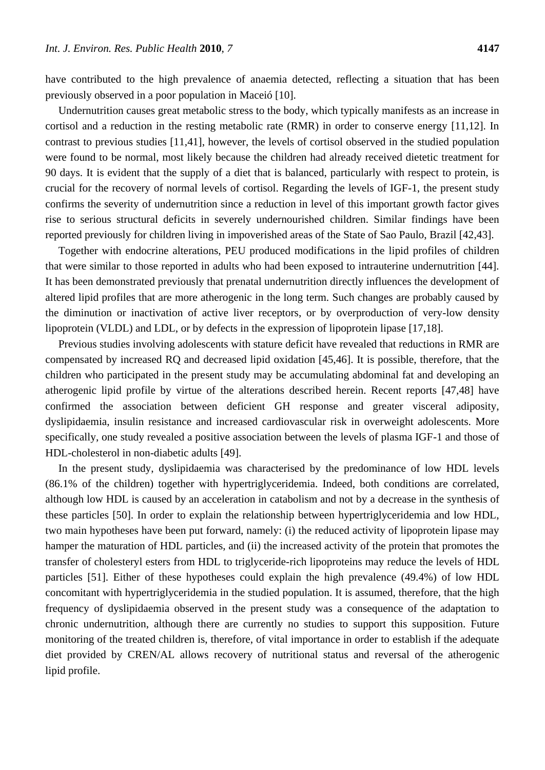have contributed to the high prevalence of anaemia detected, reflecting a situation that has been previously observed in a poor population in Maceió [10].

Undernutrition causes great metabolic stress to the body, which typically manifests as an increase in cortisol and a reduction in the resting metabolic rate (RMR) in order to conserve energy [11,12]. In contrast to previous studies [11,41], however, the levels of cortisol observed in the studied population were found to be normal, most likely because the children had already received dietetic treatment for 90 days. It is evident that the supply of a diet that is balanced, particularly with respect to protein, is crucial for the recovery of normal levels of cortisol. Regarding the levels of IGF-1, the present study confirms the severity of undernutrition since a reduction in level of this important growth factor gives rise to serious structural deficits in severely undernourished children. Similar findings have been reported previously for children living in impoverished areas of the State of Sao Paulo, Brazil [42,43].

Together with endocrine alterations, PEU produced modifications in the lipid profiles of children that were similar to those reported in adults who had been exposed to intrauterine undernutrition [44]. It has been demonstrated previously that prenatal undernutrition directly influences the development of altered lipid profiles that are more atherogenic in the long term. Such changes are probably caused by the diminution or inactivation of active liver receptors, or by overproduction of very-low density lipoprotein (VLDL) and LDL, or by defects in the expression of lipoprotein lipase [17,18].

Previous studies involving adolescents with stature deficit have revealed that reductions in RMR are compensated by increased RQ and decreased lipid oxidation [45,46]. It is possible, therefore, that the children who participated in the present study may be accumulating abdominal fat and developing an atherogenic lipid profile by virtue of the alterations described herein. Recent reports [47,48] have confirmed the association between deficient GH response and greater visceral adiposity, dyslipidaemia, insulin resistance and increased cardiovascular risk in overweight adolescents. More specifically, one study revealed a positive association between the levels of plasma IGF-1 and those of HDL-cholesterol in non-diabetic adults [49].

In the present study, dyslipidaemia was characterised by the predominance of low HDL levels (86.1% of the children) together with hypertriglyceridemia. Indeed, both conditions are correlated, although low HDL is caused by an acceleration in catabolism and not by a decrease in the synthesis of these particles [50]. In order to explain the relationship between hypertriglyceridemia and low HDL, two main hypotheses have been put forward, namely: (i) the reduced activity of lipoprotein lipase may hamper the maturation of HDL particles, and (ii) the increased activity of the protein that promotes the transfer of cholesteryl esters from HDL to triglyceride-rich lipoproteins may reduce the levels of HDL particles [51]. Either of these hypotheses could explain the high prevalence (49.4%) of low HDL concomitant with hypertriglyceridemia in the studied population. It is assumed, therefore, that the high frequency of dyslipidaemia observed in the present study was a consequence of the adaptation to chronic undernutrition, although there are currently no studies to support this supposition. Future monitoring of the treated children is, therefore, of vital importance in order to establish if the adequate diet provided by CREN/AL allows recovery of nutritional status and reversal of the atherogenic lipid profile.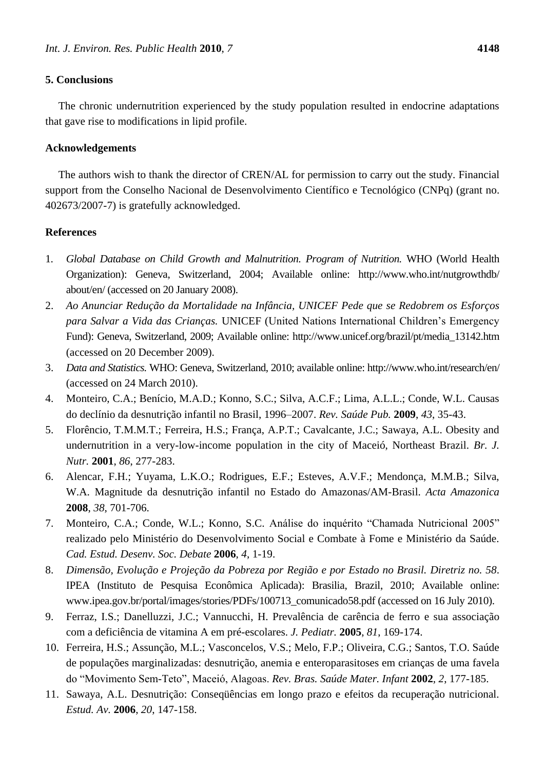## **5. Conclusions**

The chronic undernutrition experienced by the study population resulted in endocrine adaptations that gave rise to modifications in lipid profile.

## **Acknowledgements**

The authors wish to thank the director of CREN/AL for permission to carry out the study. Financial support from the Conselho Nacional de Desenvolvimento Cient fico e Tecnológico (CNPq) (grant no. 402673/2007-7) is gratefully acknowledged.

## **References**

- 1. *Global Database on Child Growth and Malnutrition. Program of Nutrition.* WHO (World Health Organization): Geneva, Switzerland, 2004; Available online: http://www.who.int/nutgrowthdb/ about/en/ (accessed on 20 January 2008).
- 2. Ao Anunciar Redução da Mortalidade na Infância, UNICEF Pede que se Redobrem os Esforços *para Salvar a Vida das Crianças.* UNICEF (United Nations International Children's Emergency Fund): Geneva, Switzerland, 2009; Available online: http://www.unicef.org/brazil/pt/media\_13142.htm (accessed on 20 December 2009).
- 3. *Data and Statistics.* WHO: Geneva, Switzerland, 2010; available online: http://www.who.int/research/en/ (accessed on 24 March 2010).
- 4. Monteiro, C.A.; Ben *t*io, M.A.D.; Konno, S.C.; Silva, A.C.F.; Lima, A.L.L.; Conde, W.L. Causas do declínio da desnutrição infantil no Brasil, 1996–2007. *Rev. Saúde Pub.* **2009**, *43*, 35-43.
- 5. Florêncio, T.M.M.T.; Ferreira, H.S.; França, A.P.T.; Cavalcante, J.C.; Sawaya, A.L. Obesity and undernutrition in a very-low-income population in the city of Maceió, Northeast Brazil. *Br. J. Nutr.* **2001**, *86*, 277-283.
- 6. Alencar, F.H.; Yuyama, L.K.O.; Rodrigues, E.F.; Esteves, A.V.F.; Mendonça, M.M.B.; Silva, W.A. Magnitude da desnutrição infantil no Estado do Amazonas/AM-Brasil. *Acta Amazonica* **2008**, *38*, 701-706.
- 7. Monteiro, C.A.; Conde, W.L.; Konno, S.C. Análise do inquérito "Chamada Nutricional 2005" realizado pelo Ministério do Desenvolvimento Social e Combate à Fome e Ministério da Saúde. *Cad. Estud. Desenv. Soc. Debate* **2006**, *4*, 1-19.
- 8. *Dimensão, Evolução e Projeção da Pobreza por Região e por Estado no Brasil. Diretriz no. 58*. IPEA (Instituto de Pesquisa Econômica Aplicada): Brasilia, Brazil, 2010; Available online: www.ipea.gov.br/portal/images/stories/PDFs/100713\_comunicado58.pdf (accessed on 16 July 2010).
- 9. Ferraz, I.S.; Danelluzzi, J.C.; Vannucchi, H. Prevalência de carência de ferro e sua associação com a deficiência de vitamina A em pré-escolares. *J. Pediatr.* **2005**, *81*, 169-174.
- 10. Ferreira, H.S.; Assunção, M.L.; Vasconcelos, V.S.; Melo, F.P.; Oliveira, C.G.; Santos, T.O. Saúde de populações marginalizadas: desnutrição, anemia e enteroparasitoses em crianças de uma favela do ―Movimento Sem-Teto‖, Maceió, Alagoas. *Rev. Bras. Saúde Mater. Infant* **2002**, *2*, 177-185.
- 11. Sawaya, A.L. Desnutrição: Conseqüências em longo prazo e efeitos da recuperação nutricional. *Estud. Av.* **2006**, *20*, 147-158.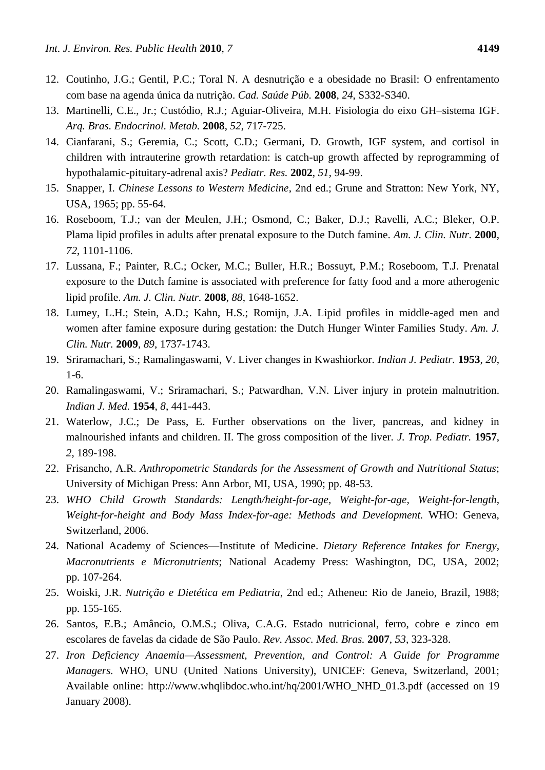- 12. Coutinho, J.G.; Gentil, P.C.; Toral N. A desnutrição e a obesidade no Brasil: O enfrentamento com base na agenda única da nutrição. *Cad. Saúde Púb.* **2008**, *24*, S332-S340.
- 13. Martinelli, C.E., Jr.; Custódio, R.J.; Aguiar-Oliveira, M.H. Fisiologia do eixo GH–sistema IGF. *Arq. Bras. Endocrinol. Metab.* **2008**, *52*, 717-725.
- 14. Cianfarani, S.; Geremia, C.; Scott, C.D.; Germani, D. Growth, IGF system, and cortisol in children with intrauterine growth retardation: is catch-up growth affected by reprogramming of hypothalamic-pituitary-adrenal axis? *Pediatr. Res.* **2002**, *51*, 94-99.
- 15. Snapper, I. *Chinese Lessons to Western Medicine*, 2nd ed.; Grune and Stratton: New York, NY, USA, 1965; pp. 55-64.
- 16. Roseboom, T.J.; van der Meulen, J.H.; Osmond, C.; Baker, D.J.; Ravelli, A.C.; Bleker, O.P. Plama lipid profiles in adults after prenatal exposure to the Dutch famine. *Am. J. Clin. Nutr.* **2000**, *72*, 1101-1106.
- 17. Lussana, F.; Painter, R.C.; Ocker, M.C.; Buller, H.R.; Bossuyt, P.M.; Roseboom, T.J. Prenatal exposure to the Dutch famine is associated with preference for fatty food and a more atherogenic lipid profile. *Am. J. Clin. Nutr.* **2008**, *88*, 1648-1652.
- 18. Lumey, L.H.; Stein, A.D.; Kahn, H.S.; Romijn, J.A. Lipid profiles in middle-aged men and women after famine exposure during gestation: the Dutch Hunger Winter Families Study. *Am. J. Clin. Nutr.* **2009**, *89*, 1737-1743.
- 19. Sriramachari, S.; Ramalingaswami, V. Liver changes in Kwashiorkor. *Indian J. Pediatr.* **1953**, *20*, 1-6.
- 20. Ramalingaswami, V.; Sriramachari, S.; Patwardhan, V.N. Liver injury in protein malnutrition. *Indian J. Med.* **1954**, *8*, 441-443.
- 21. Waterlow, J.C.; De Pass, E. Further observations on the liver, pancreas, and kidney in malnourished infants and children. II. The gross composition of the liver. *J. Trop. Pediatr.* **1957**, *2*, 189-198.
- 22. Frisancho, A.R. *Anthropometric Standards for the Assessment of Growth and Nutritional Status*; University of Michigan Press: Ann Arbor, MI, USA, 1990; pp. 48-53.
- 23. *WHO Child Growth Standards: Length/height-for-age, Weight-for-age, Weight-for-length, Weight-for-height and Body Mass Index-for-age: Methods and Development.* WHO: Geneva, Switzerland, 2006.
- 24. National Academy of Sciences—Institute of Medicine. *Dietary Reference Intakes for Energy, Macronutrients e Micronutrients*; National Academy Press: Washington, DC, USA, 2002; pp. 107-264.
- 25. Woiski, J.R. *Nutrição e Dietética em Pediatria*, 2nd ed.; Atheneu: Rio de Janeio, Brazil, 1988; pp. 155-165.
- 26. Santos, E.B.; Amâncio, O.M.S.; Oliva, C.A.G. Estado nutricional, ferro, cobre e zinco em escolares de favelas da cidade de São Paulo. *Rev. Assoc. Med. Bras.* **2007**, *53*, 323-328.
- 27. *Iron Deficiency Anaemia—Assessment, Prevention, and Control: A Guide for Programme Managers.* WHO, UNU (United Nations University), UNICEF: Geneva, Switzerland, 2001; Available online: http://www.whqlibdoc.who.int/hq/2001/WHO\_NHD\_01.3.pdf (accessed on 19 January 2008).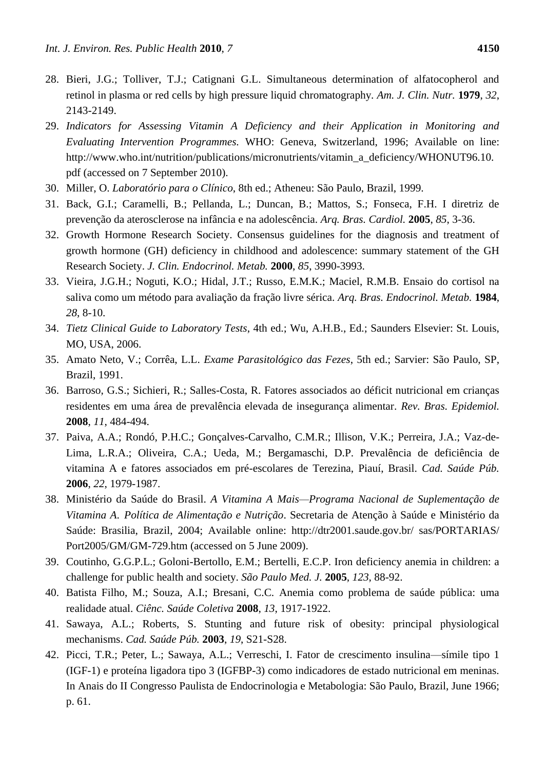- 28. Bieri, J.G.; Tolliver, T.J.; Catignani G.L. Simultaneous determination of alfatocopherol and retinol in plasma or red cells by high pressure liquid chromatography*. Am. J. Clin. Nutr.* **1979**, *32*, 2143-2149.
- 29. *Indicators for Assessing Vitamin A Deficiency and their Application in Monitoring and Evaluating Intervention Programmes.* WHO: Geneva, Switzerland, 1996; Available on line: http://www.who.int/nutrition/publications/micronutrients/vitamin\_a\_deficiency/WHONUT96.10. pdf (accessed on 7 September 2010).
- 30. Miller, O. *Laboratório para o Clínico*, 8th ed.; Atheneu: São Paulo, Brazil, 1999.
- 31. Back, G.I.; Caramelli, B.; Pellanda, L.; Duncan, B.; Mattos, S.; Fonseca, F.H. I diretriz de prevenção da aterosclerose na infância e na adolescência. *Arq. Bras. Cardiol.* **2005**, *85*, 3-36.
- 32. Growth Hormone Research Society. Consensus guidelines for the diagnosis and treatment of growth hormone (GH) deficiency in childhood and adolescence: summary statement of the GH Research Society. *J. Clin. Endocrinol. Metab.* **2000**, *85*, 3990-3993.
- 33. Vieira, J.G.H.; Noguti, K.O.; Hidal, J.T.; Russo, E.M.K.; Maciel, R.M.B. Ensaio do cortisol na saliva como um método para avaliação da fração livre sérica. *Arq. Bras. Endocrinol. Metab.* **1984**, *28*, 8-10.
- 34. *Tietz Clinical Guide to Laboratory Tests*, 4th ed.; Wu, A.H.B., Ed.; Saunders Elsevier: St. Louis, MO, USA, 2006.
- 35. Amato Neto, V.; Corrêa, L.L. *Exame Parasitológico das Fezes*, 5th ed.; Sarvier: São Paulo, SP, Brazil, 1991.
- 36. Barroso, G.S.; Sichieri, R.; Salles-Costa, R. Fatores associados ao déficit nutricional em crianças residentes em uma área de prevalência elevada de insegurança alimentar. *Rev. Bras. Epidemiol.*  **2008**, *11*, 484-494.
- 37. Paiva, A.A.; Rondó, P.H.C.; Gonçalves-Carvalho, C.M.R.; Illison, V.K.; Perreira, J.A.; Vaz-de-Lima, L.R.A.; Oliveira, C.A.; Ueda, M.; Bergamaschi, D.P. Prevalência de deficiência de vitamina A e fatores associados em pré-escolares de Terezina, Piauí, Brasil. *Cad. Saúde Púb.* **2006**, *22*, 1979-1987.
- 38. Ministério da Saúde do Brasil. *A Vitamina A Mais—Programa Nacional de Suplementação de Vitamina A*. *Política de Alimentação e Nutrição*. Secretaria de Atenção à Saúde e Ministério da Saúde: Brasilia, Brazil, 2004; Available online: http://dtr2001.saude.gov.br/ sas/PORTARIAS/ Port2005/GM/GM-729.htm (accessed on 5 June 2009).
- 39. Coutinho, G.G.P.L.; Goloni-Bertollo, E.M.; Bertelli, E.C.P. Iron deficiency anemia in children: a challenge for public health and society. *São Paulo Med. J.* **2005**, *123*, 88-92.
- 40. Batista Filho, M.; Souza, A.I.; Bresani, C.C. Anemia como problema de saúde pública: uma realidade atual. *Ciênc. Saúde Coletiva* **2008**, *13*, 1917-1922.
- 41. Sawaya, A.L.; Roberts, S. Stunting and future risk of obesity: principal physiological mechanisms. *Cad. Saúde Púb.* **2003**, *19*, S21-S28.
- 42. Picci, T.R.; Peter, L.; Sawaya, A.L.; Verreschi, I. Fator de crescimento insulina—símile tipo 1 (IGF-1) e prote ína ligadora tipo 3 (IGFBP-3) como indicadores de estado nutricional em meninas. In Anais do II Congresso Paulista de Endocrinologia e Metabologia: São Paulo, Brazil, June 1966; p. 61.